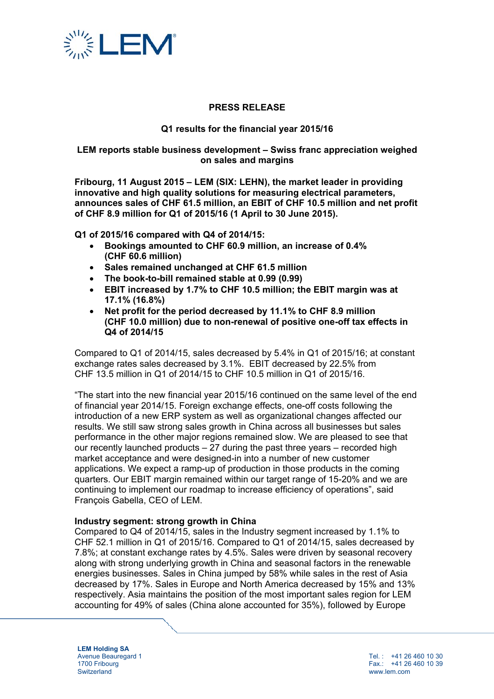

## **PRESS RELEASE**

### **Q1 results for the financial year 2015/16**

#### **LEM reports stable business development – Swiss franc appreciation weighed on sales and margins**

**Fribourg, 11 August 2015 – LEM (SIX: LEHN), the market leader in providing innovative and high quality solutions for measuring electrical parameters, announces sales of CHF 61.5 million, an EBIT of CHF 10.5 million and net profit of CHF 8.9 million for Q1 of 2015/16 (1 April to 30 June 2015).** 

**Q1 of 2015/16 compared with Q4 of 2014/15:** 

- **Bookings amounted to CHF 60.9 million, an increase of 0.4% (CHF 60.6 million)**
- **Sales remained unchanged at CHF 61.5 million**
- **The book-to-bill remained stable at 0.99 (0.99)**
- **EBIT increased by 1.7% to CHF 10.5 million; the EBIT margin was at 17.1% (16.8%)**
- **Net profit for the period decreased by 11.1% to CHF 8.9 million (CHF 10.0 million) due to non-renewal of positive one-off tax effects in Q4 of 2014/15**

Compared to Q1 of 2014/15, sales decreased by 5.4% in Q1 of 2015/16; at constant exchange rates sales decreased by 3.1%. EBIT decreased by 22.5% from CHF 13.5 million in Q1 of 2014/15 to CHF 10.5 million in Q1 of 2015/16.

"The start into the new financial year 2015/16 continued on the same level of the end of financial year 2014/15. Foreign exchange effects, one-off costs following the introduction of a new ERP system as well as organizational changes affected our results. We still saw strong sales growth in China across all businesses but sales performance in the other major regions remained slow. We are pleased to see that our recently launched products – 27 during the past three years – recorded high market acceptance and were designed-in into a number of new customer applications. We expect a ramp-up of production in those products in the coming quarters. Our EBIT margin remained within our target range of 15-20% and we are continuing to implement our roadmap to increase efficiency of operations", said François Gabella, CEO of LEM.

#### **Industry segment: strong growth in China**

Compared to Q4 of 2014/15, sales in the Industry segment increased by 1.1% to CHF 52.1 million in Q1 of 2015/16. Compared to Q1 of 2014/15, sales decreased by 7.8%; at constant exchange rates by 4.5%. Sales were driven by seasonal recovery along with strong underlying growth in China and seasonal factors in the renewable energies businesses. Sales in China jumped by 58% while sales in the rest of Asia decreased by 17%. Sales in Europe and North America decreased by 15% and 13% respectively. Asia maintains the position of the most important sales region for LEM accounting for 49% of sales (China alone accounted for 35%), followed by Europe

**LEM Holding SA**  Avenue Beauregard 1 1700 Fribourg **Switzerland** 

Tel. : +41 26 460 10 30 Fax.: +41 26 460 10 39 www.lem.com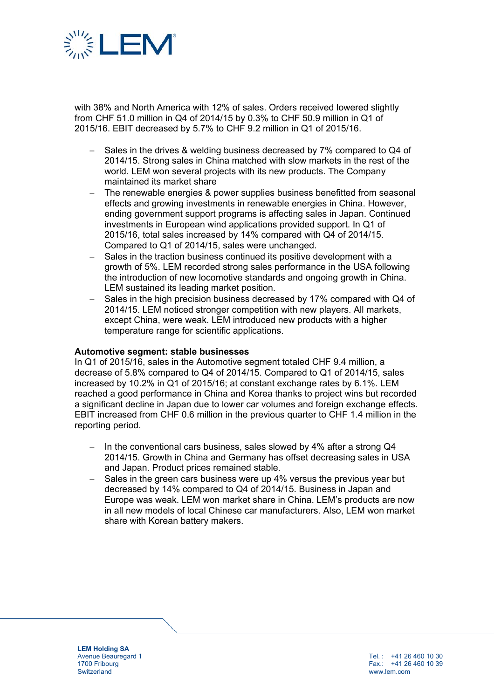

with 38% and North America with 12% of sales. Orders received lowered slightly from CHF 51.0 million in Q4 of 2014/15 by 0.3% to CHF 50.9 million in Q1 of 2015/16. EBIT decreased by 5.7% to CHF 9.2 million in Q1 of 2015/16.

- $-$  Sales in the drives & welding business decreased by 7% compared to Q4 of 2014/15. Strong sales in China matched with slow markets in the rest of the world. LEM won several projects with its new products. The Company maintained its market share
- The renewable energies & power supplies business benefitted from seasonal effects and growing investments in renewable energies in China. However, ending government support programs is affecting sales in Japan. Continued investments in European wind applications provided support. In Q1 of 2015/16, total sales increased by 14% compared with Q4 of 2014/15. Compared to Q1 of 2014/15, sales were unchanged.
- Sales in the traction business continued its positive development with a growth of 5%. LEM recorded strong sales performance in the USA following the introduction of new locomotive standards and ongoing growth in China. LEM sustained its leading market position.
- Sales in the high precision business decreased by 17% compared with Q4 of 2014/15. LEM noticed stronger competition with new players. All markets, except China, were weak. LEM introduced new products with a higher temperature range for scientific applications.

#### **Automotive segment: stable businesses**

In Q1 of 2015/16, sales in the Automotive segment totaled CHF 9.4 million, a decrease of 5.8% compared to Q4 of 2014/15. Compared to Q1 of 2014/15, sales increased by 10.2% in Q1 of 2015/16; at constant exchange rates by 6.1%. LEM reached a good performance in China and Korea thanks to project wins but recorded a significant decline in Japan due to lower car volumes and foreign exchange effects. EBIT increased from CHF 0.6 million in the previous quarter to CHF 1.4 million in the reporting period.

- In the conventional cars business, sales slowed by 4% after a strong Q4 2014/15. Growth in China and Germany has offset decreasing sales in USA and Japan. Product prices remained stable.
- $-$  Sales in the green cars business were up 4% versus the previous vear but decreased by 14% compared to Q4 of 2014/15. Business in Japan and Europe was weak. LEM won market share in China. LEM's products are now in all new models of local Chinese car manufacturers. Also, LEM won market share with Korean battery makers.

**LEM Holding SA**  Avenue Beauregard 1 1700 Fribourg **Switzerland** 

Tel. : +41 26 460 10 30 Fax.: +41 26 460 10 39 www.lem.com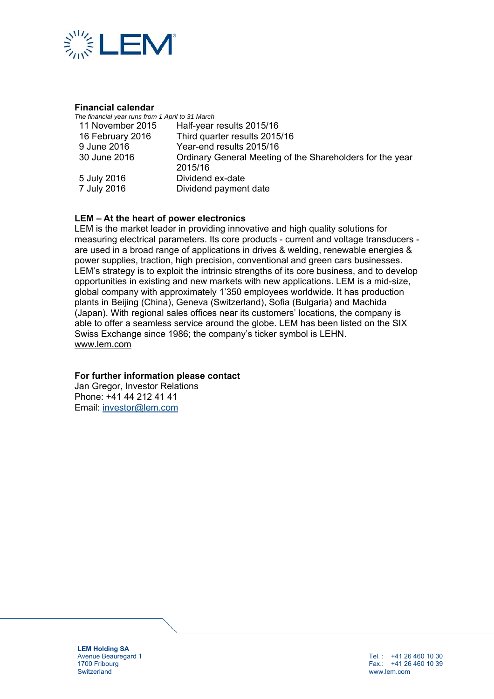

#### **Financial calendar**

| The financial year runs from 1 April to 31 March |                                                                      |
|--------------------------------------------------|----------------------------------------------------------------------|
| 11 November 2015                                 | Half-year results 2015/16                                            |
| 16 February 2016                                 | Third quarter results 2015/16                                        |
| 9 June 2016                                      | Year-end results 2015/16                                             |
| 30 June 2016                                     | Ordinary General Meeting of the Shareholders for the year<br>2015/16 |
|                                                  |                                                                      |
| 5 July 2016                                      | Dividend ex-date                                                     |
| 7 July 2016                                      | Dividend payment date                                                |

## **LEM – At the heart of power electronics**

LEM is the market leader in providing innovative and high quality solutions for measuring electrical parameters. Its core products - current and voltage transducers are used in a broad range of applications in drives & welding, renewable energies & power supplies, traction, high precision, conventional and green cars businesses. LEM's strategy is to exploit the intrinsic strengths of its core business, and to develop opportunities in existing and new markets with new applications. LEM is a mid-size, global company with approximately 1'350 employees worldwide. It has production plants in Beijing (China), Geneva (Switzerland), Sofia (Bulgaria) and Machida (Japan). With regional sales offices near its customers' locations, the company is able to offer a seamless service around the globe. LEM has been listed on the SIX Swiss Exchange since 1986; the company's ticker symbol is LEHN. www.lem.com

## **For further information please contact**

Jan Gregor, Investor Relations Phone: +41 44 212 41 41 Email: investor@lem.com

**LEM Holding SA**  Avenue Beauregard 1 1700 Fribourg **Switzerland** 

Tel. : +41 26 460 10 30 Fax.: +41 26 460 10 39 www.lem.com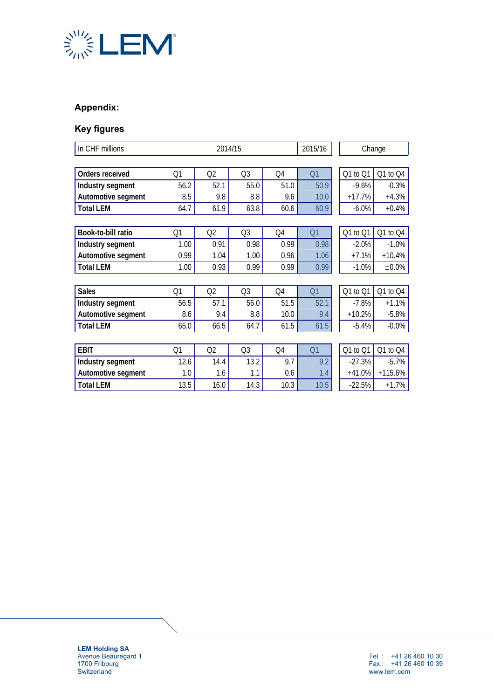

# **Appendix:**

# **Key figures**

| In CHF millions    | 2014/15 |      |                | 2015/16 | Change         |          |           |  |  |
|--------------------|---------|------|----------------|---------|----------------|----------|-----------|--|--|
|                    |         |      |                |         |                |          |           |  |  |
| Orders received    | Q1      | Q2   | Q <sub>3</sub> | Q4      | Q <sub>1</sub> | Q1 to Q1 | Q1 to Q4  |  |  |
| Industry segment   | 56.2    | 52.1 | 55.0           | 51.0    | 50.9           | $-9.6%$  | $-0.3%$   |  |  |
| Automotive segment | 8.5     | 9.8  | 8.8            | 9.6     | 10.0           | $+17.7%$ | $+4.3%$   |  |  |
| <b>Total LEM</b>   | 64.7    | 61.9 | 63.8           | 60.6    | 60.9           | $-6.0%$  | $+0.4%$   |  |  |
|                    |         |      |                |         |                |          |           |  |  |
| Book-to-bill ratio | Q1      | Q2   | Q3             | Q4      | Q1             | Q1 to Q1 | Q1 to Q4  |  |  |
| Industry segment   | 1.00    | 0.91 | 0.98           | 0.99    | 0.98           | $-2.0%$  | $-1.0%$   |  |  |
| Automotive segment | 0.99    | 1.04 | 1.00           | 0.96    | 1.06           | $+7.1%$  | $+10.4%$  |  |  |
| <b>Total LEM</b>   | 1.00    | 0.93 | 0.99           | 0.99    | 0.99           | $-1.0%$  | $±0.0\%$  |  |  |
|                    |         |      |                |         |                |          |           |  |  |
| <b>Sales</b>       | Q1      | Q2   | Q <sub>3</sub> | Q4      | Q <sub>1</sub> | Q1 to Q1 | Q1 to Q4  |  |  |
| Industry segment   | 56.5    | 57.1 | 56.0           | 51.5    | 52.1           | $-7.8%$  | $+1.1%$   |  |  |
| Automotive segment | 8.6     | 9.4  | 8.8            | 10.0    | 9.4            | $+10.2%$ | $-5.8%$   |  |  |
| <b>Total LEM</b>   | 65.0    | 66.5 | 64.7           | 61.5    | 61.5           | $-5.4%$  | $-0.0\%$  |  |  |
|                    |         |      |                |         |                |          |           |  |  |
| <b>EBIT</b>        | Q1      | Q2   | Q3             | Q4      | Q <sub>1</sub> | Q1 to Q1 | Q1 to Q4  |  |  |
| Industry segment   | 12.6    | 14.4 | 13.2           | 9.7     | 9.2            | $-27.3%$ | $-5.7%$   |  |  |
| Automotive segment | 1.0     | 1.6  | 1.1            | 0.6     | 1.4            | $+41.0%$ | $+115.6%$ |  |  |
| Total LEM          | 13.5    | 16.0 | 14.3           | 10.3    | 10.5           | $-22.5%$ | $+1.7%$   |  |  |

**LEM Holding SA**  Avenue Beauregard 1 1700 Fribourg **Switzerland**